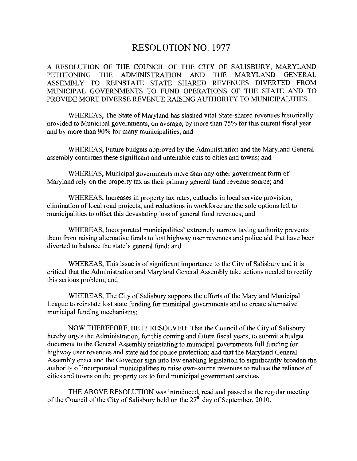### RESOLUTION NO. 1977

A RESOLUTION OF THE COUNCIL OF THE CITY OF SALISBURY, MARYLAND PETITIONING THE ADMINISTRATION AND THE MARYLAND GENERAL ASSEMBLY TO REINSTATE STATE SHARED REVENUES DIVERTED FROM MUNICIPAL GOVERNMENTS TO FUND OPERATIONS OF THE STATE AND TO PROVIDE MORE DIVERSE REVENUE RAISING AUTHORITY TO MUNICIPALITIES

WHEREAS, The State of Maryland has slashed vital State-shared revenues historically provided to Municipal governments, on average, by more than 75% for this current fiscal year and by more than 90% for many municipalities; and

WHEREAS Future budgets approved by the Administration and the Maryland General assembly continues these significant and untenable cuts to cities and towns; and

WHEREAS, Municipal governments more than any other government form of Maryland rely on the property tax as their primary general fund revenue source; and

WHEREAS, Increases in property tax rates, cutbacks in local service provision, elimination of local road projects, and reductions in workforce are the sole options left to municipalities to offset this devastating loss of general fund revenues; and

WHEREAS, Incorporated municipalities' extremely narrow taxing authority prevents them from raising altemative funds to lost highway user revenues and police aid that have been diverted to balance the state's general fund; and

WHEREAS, This issue is of significant importance to the City of Salisbury and it is critical that the Administration and Maryland General Assembly take actions needed to rectify this serious problem; and

WHEREAS, The City of Salisbury supports the efforts of the Maryland Municipal League to reinstate lost state funding for municipal governments and to create alternative municipal funding mechanisms

NOW THEREFORE, BE IT RESOLVED, That the Council of the City of Salisbury hereby urges the Administration, for this coming and future fiscal years, to submit a budget document to the General Assembly reinstating to municipal governments full funding for highway user revenues and state aid for police protection; and that the Maryland General Assembly enact and the Governor sign into law enabling legislation to significantly broaden the authority of incorporated municipalities to raise own-source revenues to reduce the reliance of cities and towns on the property tax to fund municipal government services

THE ABOVE RESOLUTION was introduced, read and passed at the regular meeting of the Council of the City of Salisbury held on the  $27<sup>th</sup>$  day of September, 2010.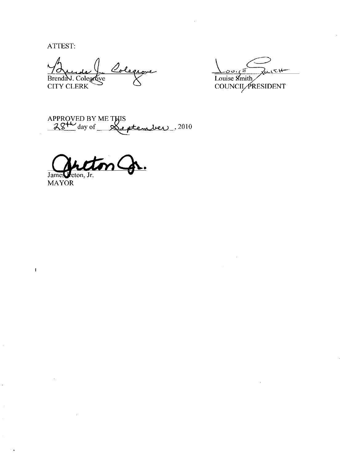ATTEST:

Colegione Brenday. Colegrove

 $\sim$ W-Louise Smith **COUNCIL PRESIDENT** 

APPROVED BY ME THIS<br>28<sup>+</sup> day of the pote <u>ber</u> ,2010

James Feton, Jr.

**MAYOR** 

 $\bar{1}$ 

À,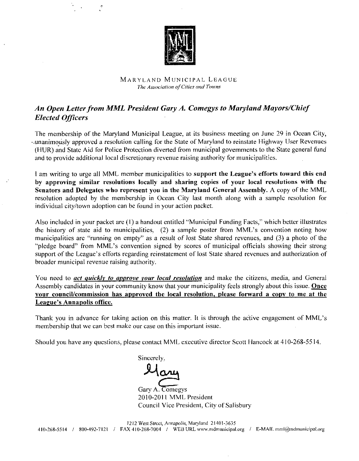

#### MARYLAND MUNICIPAL LEAGUG The Association of Cities and Towns

## An Open Letter from MML President Gary A. Comegys to Maryland Mayors/Chief Elected Officers

The membership of the Maryland Municipal League, at its business meeting on June 29 in Ocean City, unanimously approved a resolution calling for the State of Maryland to reinstate Highway User Revenues (HUR) and State Aid for Police Protection diverted from municipal governments to the State general fund and to provide additional local discretionary revenue raising authority for municipalities unanimously approved a resolution calling for the State of Maryland to reinstate (HUR) and State Aid for Police Protection diverted from municipal governments and to provide additional local discretionary revenue raising a

I am writing to urge all MML member municipalities to support the League's efforts toward this end by approving similar resolutions locally and sharing copies of your local resolutions with the Senators and Delegates who represent you in the Maryland General Assembly. A copy of the MML resolution adopted by the membership in Ocean City last month along with <sup>a</sup> sample resolution for individual city/town adoption can be found in your action packet.

resolution adopted by the membership in Ocentral individual city/town adoption can be found in your Also included in your packet are  $(1)$  a handout enthe history of state aid to municipalities,  $(2)$ Also included in your packet are  $(1)$  a handout entitled "Municipal Funding Facts," which better illustrates n City last month along with a sample resolution for<br>r action packet.<br>titled "Municipal Funding Facts," which better illustrates<br>a sample poster from MML's convention noting how<br>it of lost State shared revenues, and (3) a municipalities are "running on empty" as a result of lost State shared revenues, and  $(3)$  a photo of the Also included in your packet are (1) a handout entitled "Municipal Funding Facts," which better illustrates the history of state aid to municipalities, (2) a sample poster from MML's convention noting how municipalities ar Also included in your p<br>the history of state aid<br>municipalities are "run<br>"pledge board" from N<br>support of the League's<br>broader municipal rever "pledge board" from MML's convention signed by scores of municipal officials showing their strong<br>support of the League's efforts regarding reinstatement of lost State shared revenues and authorization of broader municipal revenue raising authority

You need to *act quickly to approve your local resolution* and make the citizens, media, and General Assembly candidates in your community know that your municipality feels strongly about this issue. Once<br>your council/commission has approved the local resolution, please forward a copy to me at the League's Annapolis office.<br>Thank you in advance for taking action on this matter. It is through the active engagement of MML's your council/commission has approved the local resolution, please forward a copy to me at the

membership that we can best make our case on this important issue

Should you have any questions, please contact MML executive director Scott Hancock at 410-268-5514.

Sincerely

Gary A. Comegys 2010-2011 MML President Council Vice President, City of Salisbury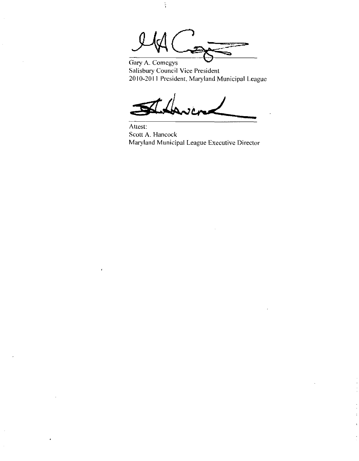<u>reduce</u>

 $\frac{1}{2}$ 

Gary A. Comegys Salisbury Council Vice President 2010-2011 President, Maryland Municipal League

Attest Scott A. Hancock Maryland Municipal League Executive Director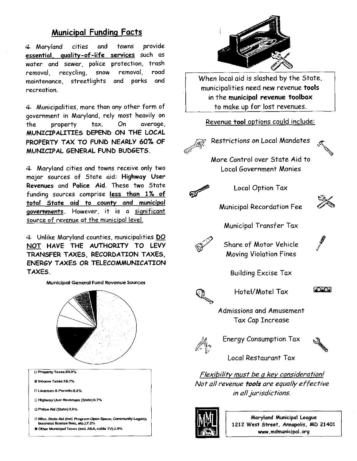# Municipal Funding Facts

rL Maryland cities and **Municipal Fune<br>4 Maryland cities an<br>essential, quality-of-life**<br>water and sewer, police water and sewer, police protection, trash removal, recycling, snow maintenance, streetlights recreation towns provide services such as removal road and parks and

 $#$  Municipalities, more than any other form of government in Maryland, rely most heavily on the property tax. On average, MUNICIPALITIES DEPEND ON THE LOCAL PROPERTY TAX TO FUND NEARLY 60% OF MUNICIPAL GENERAL FUND BUDGETS

Maryland cities and towns receive only two major sources of State aid: Highway User Revenues and Police Aid. These two State funding sources comprise less than 1% of total State aid to county and municipal governments. However, it is a significant source of revenue at the municipal level

 $\div$  Unlike Maryland counties, municipalities DO NOT HAVE THE AUTHORITY TO LEVY TRANSFER TAXES RECORDATION TAXES ENERGY TAXES OR TELECOMMUNICATION TAXES

Municipal General Fund Revenue Sources □ Property Taxes:69.9%<br>■ Income Taxes:16.1% M<br>
Income Taxes:59.<br>
Income Taxes:15.1<br>
Incomes & Permits<br>
International Parties Property Taxes:69.9%<br>Income Taxes:16.1%<br>Licenses & Permits:5.6%<br>Highway Licen Revenues □ Highway User Revenues (State) £.7% income Taxes:15.1%<br>Licenses & Permits:5,6%<br>Highway User Revenues<br>Police Aid (State):2,6%<br>Misc, State Aid (incl. Pro □ Misc, State Aid (incl. Program Open Space, Community Legacy,<br>business license fees, etc.):7.2% Income Taxes:15.1%<br>Licenses & Permits:5.6%<br>Highway User Revenues (State):6.<br>Police Aid (State):2.6%<br>Misc. State Aid (Incl. Program Optusiness license fees, etc.):7.2%<br>Other Municipal Taxes (incl. A&A, <u>r</u> Police Aid (State):2,8%<br> **c** Misc, State Aid (incl. Program Open Space, Comm<br>
business license fees, etc.):7.2%<br>
■ Other Municipal Taxes (incl. A&A, cable TV):2.9%





When local aid is slashed by the State, municipalities need new revenue tools in the municipol revenue toolbox to make up for lost revenues.

#### Revenue tool options could include



Restrictions on Local Mandates

More Control over State Aid to Local Government Monies



Local Option Tax

Municipal Recordation Fee



Municipal Transfer Tax



Share of Motor Vehicle Moving Violation Fines

**Building Excise Tax** 



Hotel/Motel Tax



Admissions and Amusement Tax Cap Increase



Energy Consumption Tax



Local Restaurant Tax

Flexibility must be a key consideration! Not all revenue tools are equally effective in all jurisdictions



Maryland Municipal League 1212 West Street, Annapolis, MD 21401 www.mdmunicipal Leag<br>1 Street, Annapolis, N<br>www.mdmunicipal.org